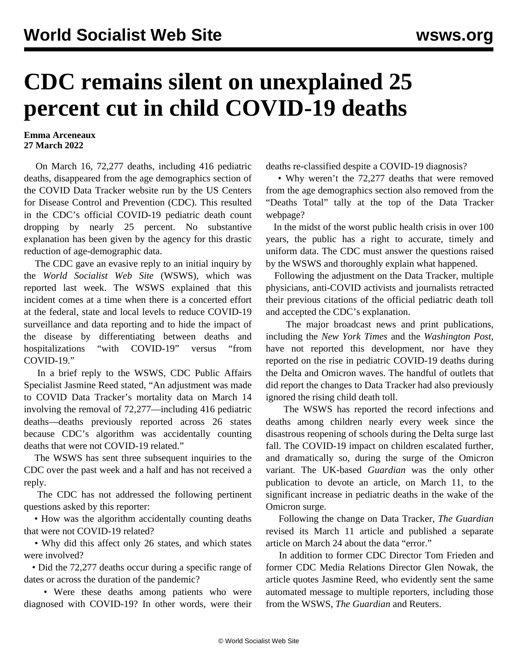## **CDC remains silent on unexplained 25 percent cut in child COVID-19 deaths**

## **Emma Arceneaux 27 March 2022**

 On March 16, 72,277 deaths, including 416 pediatric deaths, disappeared from the age demographics section of the COVID Data Tracker website run by the US Centers for Disease Control and Prevention (CDC). This resulted in the CDC's official COVID-19 pediatric death count dropping by nearly 25 percent. No substantive explanation has been given by the agency for this drastic reduction of age-demographic data.

 The CDC gave an evasive reply to an initial inquiry by the *World Socialist Web Site* (WSWS), which was reported [last week](/en/articles/2022/03/21/chil-m21.html). The WSWS explained that this incident comes at a time when there is a concerted effort at the federal, state and local levels to reduce COVID-19 surveillance and data reporting and to hide the impact of the disease by differentiating between deaths and hospitalizations "with COVID-19" versus "from COVID-19."

 In a brief reply to the WSWS, CDC Public Affairs Specialist Jasmine Reed stated, "An adjustment was made to COVID Data Tracker's mortality data on March 14 involving the removal of 72,277—including 416 pediatric deaths—deaths previously reported across 26 states because CDC's algorithm was accidentally counting deaths that were not COVID-19 related."

 The WSWS has sent three subsequent inquiries to the CDC over the past week and a half and has not received a reply.

 The CDC has not addressed the following pertinent questions asked by this reporter:

 • How was the algorithm accidentally counting deaths that were not COVID-19 related?

 • Why did this affect only 26 states, and which states were involved?

 • Did the 72,277 deaths occur during a specific range of dates or across the duration of the pandemic?

 • Were these deaths among patients who were diagnosed with COVID-19? In other words, were their deaths re-classified despite a COVID-19 diagnosis?

 • Why weren't the 72,277 deaths that were removed from the age demographics section also removed from the "Deaths Total" tally at the top of the Data Tracker webpage?

 In the midst of the worst public health crisis in over 100 years, the public has a right to accurate, timely and uniform data. The CDC must answer the questions raised by the WSWS and thoroughly explain what happened.

 Following the adjustment on the Data Tracker, multiple physicians, anti-COVID activists and journalists retracted their previous citations of the official pediatric death toll and accepted the CDC's explanation.

 The major broadcast news and print publications, including the *New York Times* and the *Washington Post*, have not reported this development, nor have they reported on the rise in pediatric COVID-19 deaths during the Delta and Omicron waves. The handful of outlets that did report the changes to Data Tracker had also previously ignored the rising child death toll.

 The WSWS has reported the record infections and deaths among children nearly every week since the disastrous reopening of schools during the Delta surge last fall. The COVID-19 impact on children escalated further, and dramatically so, during the surge of the Omicron variant. The UK-based *Guardian* was the only other publication to devote an article, on March 11, to the significant increase in pediatric deaths in the wake of the Omicron surge.

 Following the change on Data Tracker, *The Guardian* revised its March 11 article and published a separate article on March 24 about the data "error."

 In addition to former CDC Director Tom Frieden and former CDC Media Relations Director Glen Nowak, the article quotes Jasmine Reed, who evidently sent the same automated message to multiple reporters, including those from the WSWS, *The Guardian* and Reuters.